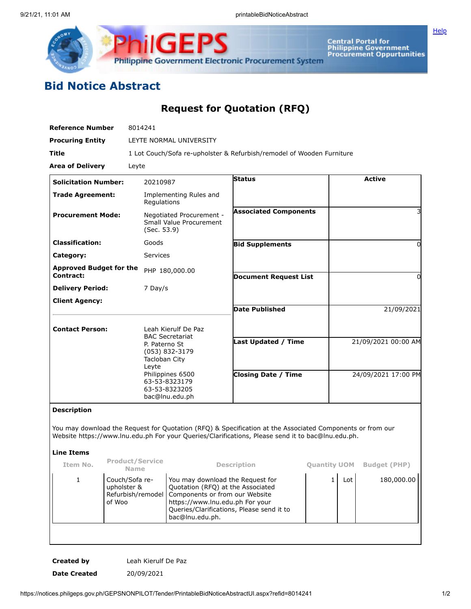



Central Portal for<br>Philippine Government<br>Procurement Oppurtunities

## **Bid Notice Abstract**

**Request for Quotation (RFQ)**

| <b>Reference Number</b>                     |                                                              | 8014241                                                                                                                                                                              |                                                                                                                                                                                                            |                                                                                                                                                                                                                |                     |                     |                     |  |
|---------------------------------------------|--------------------------------------------------------------|--------------------------------------------------------------------------------------------------------------------------------------------------------------------------------------|------------------------------------------------------------------------------------------------------------------------------------------------------------------------------------------------------------|----------------------------------------------------------------------------------------------------------------------------------------------------------------------------------------------------------------|---------------------|---------------------|---------------------|--|
| <b>Procuring Entity</b>                     |                                                              | LEYTE NORMAL UNIVERSITY                                                                                                                                                              |                                                                                                                                                                                                            |                                                                                                                                                                                                                |                     |                     |                     |  |
| Title                                       |                                                              | 1 Lot Couch/Sofa re-upholster & Refurbish/remodel of Wooden Furniture                                                                                                                |                                                                                                                                                                                                            |                                                                                                                                                                                                                |                     |                     |                     |  |
| <b>Area of Delivery</b>                     |                                                              | Leyte                                                                                                                                                                                |                                                                                                                                                                                                            |                                                                                                                                                                                                                |                     |                     |                     |  |
| <b>Solicitation Number:</b>                 |                                                              | 20210987                                                                                                                                                                             |                                                                                                                                                                                                            | <b>Status</b>                                                                                                                                                                                                  |                     |                     | <b>Active</b>       |  |
| <b>Trade Agreement:</b>                     |                                                              | Regulations                                                                                                                                                                          | Implementing Rules and                                                                                                                                                                                     |                                                                                                                                                                                                                |                     |                     |                     |  |
| <b>Procurement Mode:</b>                    |                                                              | Negotiated Procurement -<br>Small Value Procurement<br>(Sec. 53.9)                                                                                                                   |                                                                                                                                                                                                            | <b>Associated Components</b>                                                                                                                                                                                   |                     |                     |                     |  |
| <b>Classification:</b>                      |                                                              | Goods                                                                                                                                                                                |                                                                                                                                                                                                            | <b>Bid Supplements</b>                                                                                                                                                                                         |                     |                     | $\Omega$            |  |
| Category:                                   |                                                              | Services                                                                                                                                                                             |                                                                                                                                                                                                            |                                                                                                                                                                                                                |                     |                     |                     |  |
| <b>Approved Budget for the</b><br>Contract: |                                                              |                                                                                                                                                                                      | PHP 180,000.00                                                                                                                                                                                             | <b>Document Request List</b>                                                                                                                                                                                   |                     | 0                   |                     |  |
| <b>Delivery Period:</b>                     |                                                              | 7 Day/s                                                                                                                                                                              |                                                                                                                                                                                                            |                                                                                                                                                                                                                |                     |                     |                     |  |
| <b>Client Agency:</b>                       |                                                              |                                                                                                                                                                                      |                                                                                                                                                                                                            |                                                                                                                                                                                                                |                     |                     |                     |  |
|                                             |                                                              |                                                                                                                                                                                      |                                                                                                                                                                                                            | <b>Date Published</b>                                                                                                                                                                                          |                     |                     | 21/09/2021          |  |
| <b>Contact Person:</b>                      |                                                              | Leah Kierulf De Paz<br><b>BAC Secretariat</b><br>P. Paterno St<br>$(053)$ 832-3179<br>Tacloban City<br>Leyte<br>Philippines 6500<br>63-53-8323179<br>63-53-8323205<br>bac@lnu.edu.ph |                                                                                                                                                                                                            | Last Updated / Time                                                                                                                                                                                            |                     | 21/09/2021 00:00 AM |                     |  |
|                                             |                                                              |                                                                                                                                                                                      |                                                                                                                                                                                                            | <b>Closing Date / Time</b>                                                                                                                                                                                     |                     | 24/09/2021 17:00 PM |                     |  |
| <b>Description</b>                          |                                                              |                                                                                                                                                                                      |                                                                                                                                                                                                            |                                                                                                                                                                                                                |                     |                     |                     |  |
|                                             |                                                              |                                                                                                                                                                                      |                                                                                                                                                                                                            | You may download the Request for Quotation (RFQ) & Specification at the Associated Components or from our<br>Website https://www.lnu.edu.ph For your Queries/Clarifications, Please send it to bac@lnu.edu.ph. |                     |                     |                     |  |
| <b>Line Items</b>                           |                                                              |                                                                                                                                                                                      |                                                                                                                                                                                                            |                                                                                                                                                                                                                |                     |                     |                     |  |
| Item No.                                    | <b>Product/Service</b><br><b>Name</b>                        |                                                                                                                                                                                      | Description                                                                                                                                                                                                |                                                                                                                                                                                                                | <b>Quantity UOM</b> |                     | <b>Budget (PHP)</b> |  |
| $\mathbf{1}$                                | Couch/Sofa re-<br>upholster &<br>Refurbish/remodel<br>of Woo |                                                                                                                                                                                      | You may download the Request for<br>Quotation (RFQ) at the Associated<br>Components or from our Website<br>https://www.lnu.edu.ph For your<br>Queries/Clarifications, Please send it to<br>bac@lnu.edu.ph. |                                                                                                                                                                                                                | $\mathbf{1}$        | Lot                 | 180,000.00          |  |
|                                             |                                                              |                                                                                                                                                                                      |                                                                                                                                                                                                            |                                                                                                                                                                                                                |                     |                     |                     |  |

**Created by** Leah Kierulf De Paz **Date Created** 20/09/2021